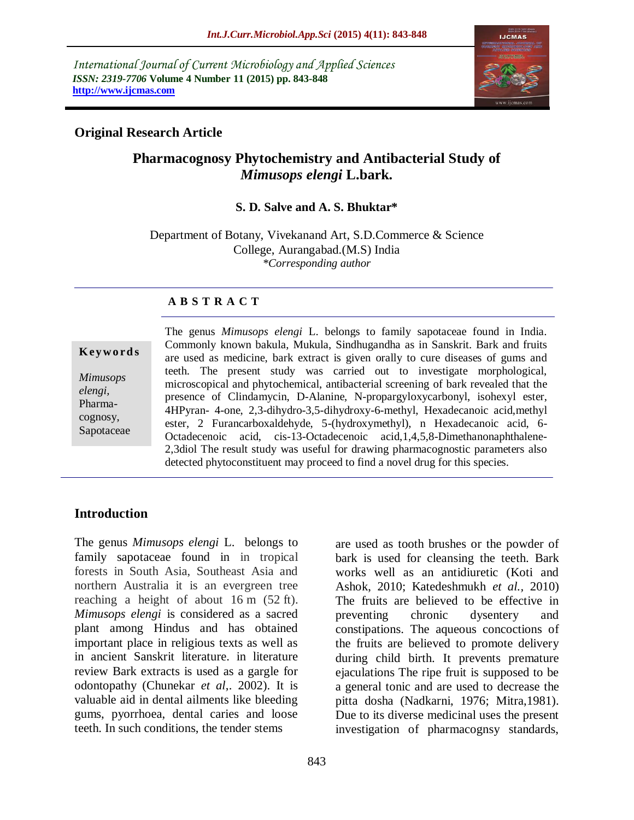*International Journal of Current Microbiology and Applied Sciences ISSN: 2319-7706* **Volume 4 Number 11 (2015) pp. 843-848 http://www.ijcmas.com** 



# **Original Research Article**

# **Pharmacognosy Phytochemistry and Antibacterial Study of**  *Mimusops elengi* **L.bark.**

#### **S. D. Salve and A. S. Bhuktar\***

Department of Botany, Vivekanand Art, S.D.Commerce & Science College, Aurangabad.(M.S) India *\*Corresponding author*

## **A B S T R A C T**

**K ey w o rd s**

*Mimusops elengi,* Pharmacognosy, Sapotaceae The genus *Mimusops elengi* L. belongs to family sapotaceae found in India. Commonly known bakula, Mukula, Sindhugandha as in Sanskrit. Bark and fruits are used as medicine, bark extract is given orally to cure diseases of gums and teeth. The present study was carried out to investigate morphological, microscopical and phytochemical, antibacterial screening of bark revealed that the presence of Clindamycin, D-Alanine, N-propargyloxycarbonyl, isohexyl ester, 4HPyran- 4-one, 2,3-dihydro-3,5-dihydroxy-6-methyl, Hexadecanoic acid,methyl ester, 2 Furancarboxaldehyde, 5-(hydroxymethyl), n Hexadecanoic acid, 6- Octadecenoic acid, cis-13-Octadecenoic acid,1,4,5,8-Dimethanonaphthalene-2,3diol The result study was useful for drawing pharmacognostic parameters also detected phytoconstituent may proceed to find a novel drug for this species.

#### **Introduction**

The genus *Mimusops elengi* L. belongs to family sapotaceae found in in tropical forests in South Asia, Southeast Asia and northern Australia it is an evergreen tree reaching a height of about 16 m (52 ft). *Mimusops elengi* is considered as a sacred plant among Hindus and has obtained important place in religious texts as well as in ancient Sanskrit literature. in literature review Bark extracts is used as a gargle for odontopathy (Chunekar *et al*,. 2002). It is valuable aid in dental ailments like bleeding gums, pyorrhoea, dental caries and loose teeth. In such conditions, the tender stems

are used as tooth brushes or the powder of bark is used for cleansing the teeth. Bark works well as an antidiuretic (Koti and Ashok, 2010; Katedeshmukh *et al.,* 2010) The fruits are believed to be effective in preventing chronic dysentery and constipations. The aqueous concoctions of the fruits are believed to promote delivery during child birth. It prevents premature ejaculations The ripe fruit is supposed to be a general tonic and are used to decrease the pitta dosha (Nadkarni, 1976; Mitra,1981). Due to its diverse medicinal uses the present investigation of pharmacognsy standards,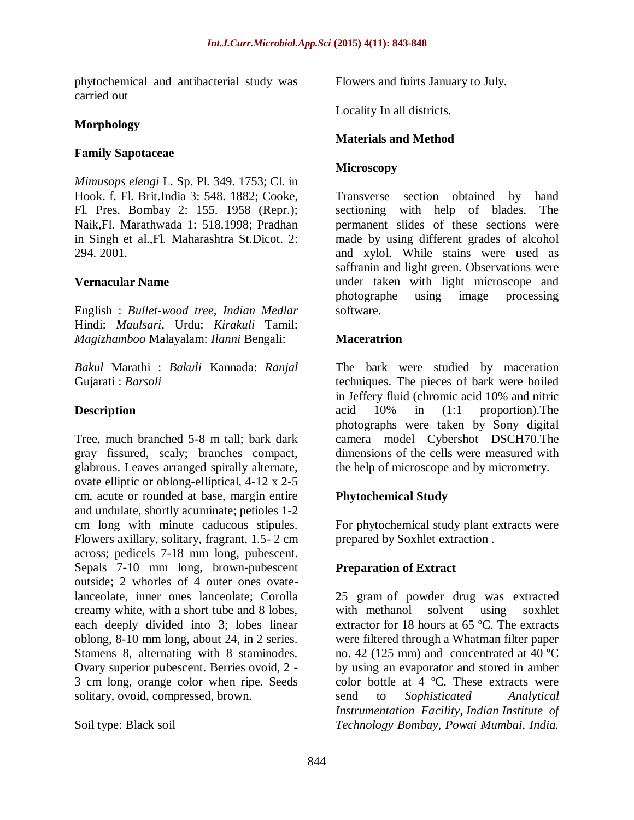phytochemical and antibacterial study was carried out

## **Morphology**

#### **Family Sapotaceae**

*Mimusops elengi* L. Sp. Pl. 349. 1753; Cl. in Hook. f. Fl. Brit.India 3: 548. 1882; Cooke, Fl. Pres. Bombay 2: 155. 1958 (Repr.); Naik,Fl. Marathwada 1: 518.1998; Pradhan in Singh et al.,Fl. Maharashtra St.Dicot. 2: 294. 2001.

## **Vernacular Name**

English : *Bullet-wood tree, Indian Medlar*  Hindi: *Maulsari,* Urdu: *Kirakuli* Tamil: *Magizhamboo* Malayalam: *Ilanni* Bengali:

*Bakul* Marathi : *Bakuli* Kannada: *Ranjal*  Gujarati : *Barsoli*

## **Description**

Tree, much branched 5-8 m tall; bark dark gray fissured, scaly; branches compact, glabrous. Leaves arranged spirally alternate, ovate elliptic or oblong-elliptical, 4-12 x 2-5 cm, acute or rounded at base, margin entire and undulate, shortly acuminate; petioles 1-2 cm long with minute caducous stipules. Flowers axillary, solitary, fragrant, 1.5- 2 cm across; pedicels 7-18 mm long, pubescent. Sepals 7-10 mm long, brown-pubescent outside; 2 whorles of 4 outer ones ovatelanceolate, inner ones lanceolate; Corolla creamy white, with a short tube and 8 lobes, each deeply divided into 3; lobes linear oblong, 8-10 mm long, about 24, in 2 series. Stamens 8, alternating with 8 staminodes. Ovary superior pubescent. Berries ovoid, 2 - 3 cm long, orange color when ripe. Seeds solitary, ovoid, compressed, brown.

Soil type: Black soil

Flowers and fuirts January to July.

Locality In all districts.

#### **Materials and Method**

#### **Microscopy**

Transverse section obtained by hand sectioning with help of blades. The permanent slides of these sections were made by using different grades of alcohol and xylol. While stains were used as saffranin and light green. Observations were under taken with light microscope and photographe using image processing software.

#### **Maceratrion**

The bark were studied by maceration techniques. The pieces of bark were boiled in Jeffery fluid (chromic acid 10% and nitric acid 10% in (1:1 proportion).The photographs were taken by Sony digital camera model Cybershot DSCH70.The dimensions of the cells were measured with the help of microscope and by micrometry.

## **Phytochemical Study**

For phytochemical study plant extracts were prepared by Soxhlet extraction .

## **Preparation of Extract**

25 gram of powder drug was extracted with methanol solvent using soxhlet extractor for 18 hours at 65 ºC. The extracts were filtered through a Whatman filter paper no. 42 (125 mm) and concentrated at 40 ºC by using an evaporator and stored in amber color bottle at 4 ºC. These extracts were send to *Sophisticated Analytical Instrumentation Facility, Indian Institute of Technology Bombay, Powai Mumbai, India.*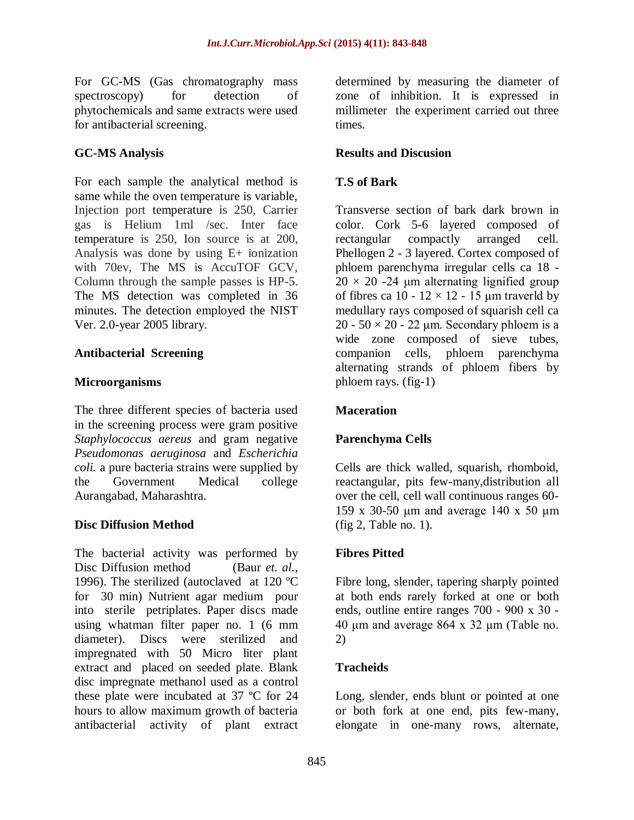For GC-MS (Gas chromatography mass spectroscopy) for detection of phytochemicals and same extracts were used for antibacterial screening.

# **GC-MS Analysis**

For each sample the analytical method is same while the oven temperature is variable, Injection port temperature is 250, Carrier gas is Helium 1ml /sec. Inter face temperature is 250, Ion source is at 200, Analysis was done by using E+ ionization with 70ev, The MS is AccuTOF GCV, Column through the sample passes is HP-5. The MS detection was completed in 36 minutes. The detection employed the NIST Ver. 2.0-year 2005 library.

## **Antibacterial Screening**

# **Microorganisms**

The three different species of bacteria used in the screening process were gram positive *Staphylococcus aereus* and gram negative *Pseudomonas aeruginosa* and *Escherichia coli.* a pure bacteria strains were supplied by the Government Medical college Aurangabad, Maharashtra.

## **Disc Diffusion Method**

The bacterial activity was performed by Disc Diffusion method (Baur *et. al.,* 1996). The sterilized (autoclaved at 120 ºC for 30 min) Nutrient agar medium pour into sterile petriplates. Paper discs made using whatman filter paper no. 1 (6 mm diameter). Discs were sterilized and impregnated with 50 Micro liter plant extract and placed on seeded plate. Blank disc impregnate methanol used as a control these plate were incubated at 37 ºC for 24 hours to allow maximum growth of bacteria antibacterial activity of plant extract

determined by measuring the diameter of zone of inhibition. It is expressed in millimeter the experiment carried out three times.

# **Results and Discusion**

# **T.S of Bark**

Transverse section of bark dark brown in color. Cork 5-6 layered composed of rectangular compactly arranged cell. Phellogen 2 - 3 layered. Cortex composed of phloem parenchyma irregular cells ca 18 -  $20 \times 20$  -24 μm alternating lignified group of fibres ca 10 -  $12 \times 12$  - 15 µm traverld by medullary rays composed of squarish cell ca 20 -  $50 \times 20$  - 22 µm. Secondary phloem is a wide zone composed of sieve tubes, companion cells, phloem parenchyma alternating strands of phloem fibers by phloem rays. (fig-1)

# **Maceration**

# **Parenchyma Cells**

Cells are thick walled, squarish, rhomboid, reactangular, pits few-many,distribution all over the cell, cell wall continuous ranges 60- 159 x 30-50 μm and average 140 x 50 μm (fig 2, Table no. 1).

## **Fibres Pitted**

Fibre long, slender, tapering sharply pointed at both ends rarely forked at one or both ends, outline entire ranges 700 - 900 x 30 -40 μm and average 864 х 32 μm (Table no. 2)

## **Tracheids**

Long, slender, ends blunt or pointed at one or both fork at one end, pits few-many, elongate in one-many rows, alternate,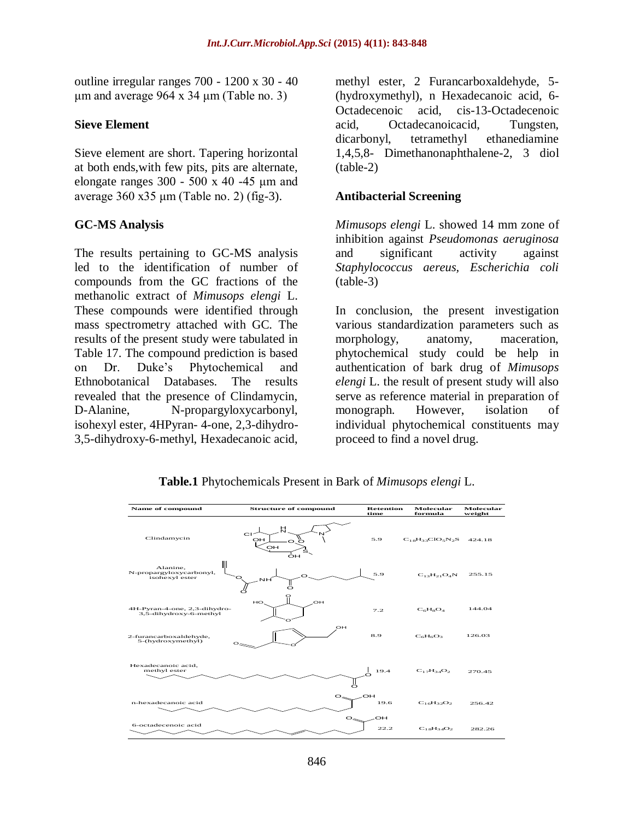outline irregular ranges 700 - 1200 x 30 - 40 μm and average 964 x 34 μm (Table no. 3)

#### **Sieve Element**

Sieve element are short. Tapering horizontal at both ends,with few pits, pits are alternate, elongate ranges 300 - 500 х 40 -45 μm and average 360 х35 μm (Table no. 2) (fig-3).

#### **GC-MS Analysis**

The results pertaining to GC-MS analysis led to the identification of number of compounds from the GC fractions of the methanolic extract of *Mimusops elengi* L. These compounds were identified through mass spectrometry attached with GC. The results of the present study were tabulated in Table 17. The compound prediction is based on Dr. Duke's Phytochemical and Ethnobotanical Databases. The results revealed that the presence of Clindamycin, D-Alanine, N-propargyloxycarbonyl, isohexyl ester, 4HPyran- 4-one, 2,3-dihydro-3,5-dihydroxy-6-methyl, Hexadecanoic acid,

methyl ester, 2 Furancarboxaldehyde, 5- (hydroxymethyl), n Hexadecanoic acid, 6- Octadecenoic acid, cis-13-Octadecenoic acid, Octadecanoicacid, Tungsten, dicarbonyl, tetramethyl ethanediamine 1,4,5,8- Dimethanonaphthalene-2, 3 diol (table-2)

#### **Antibacterial Screening**

*Mimusops elengi* L. showed 14 mm zone of inhibition against *Pseudomonas aeruginosa*  and significant activity against *Staphylococcus aereus, Escherichia coli*  (table-3)

In conclusion, the present investigation various standardization parameters such as morphology, anatomy, maceration, phytochemical study could be help in authentication of bark drug of *Mimusops elengi* L. the result of present study will also serve as reference material in preparation of monograph. However, isolation of individual phytochemical constituents may proceed to find a novel drug.

| <b>Name of compound</b>                                    | <b>Structure of compound</b> | <b>Retention</b><br>time | Molecular<br>formula    | Molecular<br>weight |  |
|------------------------------------------------------------|------------------------------|--------------------------|-------------------------|---------------------|--|
| Clindamycin                                                | Н<br>CI<br>OH<br>OH<br>ÓН    | 5.9                      | $C_{18}H_{33}ClO_5N_2S$ | 424.18              |  |
| Ⅲ<br>Alanine.<br>N-propargyloxycarbonyl,<br>isohexyl ester | NH                           | 5.9                      | $C_{13}H_{21}O_4N$      | 255.15              |  |
| 4H-Pyran-4-one, 2,3-dihydro-<br>3,5-dihydroxy-6-methyl     | OH<br>H <sup>o</sup>         | 7.2                      | $C_6H_8O_4$             | 144.04              |  |
| 2-furancarboxaldehyde,<br>5-(hydroxymethyl)                | OН<br>$O_{\leq}$             | 8.9                      | $C_6H_6O_3$             | 126.03              |  |
| Hexadecanoic acid,<br>methyl ester                         | ⌒                            | 19.4                     | $C_{17}H_{34}O_2$       | 270.45              |  |
| n-hexadecanoic acid                                        | $\mathbf{O}_{\approx}$       | OH<br>19.6               | $C_{16}H_{32}O_2$       | 256.42              |  |
| 6-octadecenoic acid                                        | $\mathbf{O}_{\approx}$       | OH<br>22.2               | $C_{18}H_{34}O_2$       | 282.26              |  |

**Table.1** Phytochemicals Present in Bark of *Mimusops elengi* L.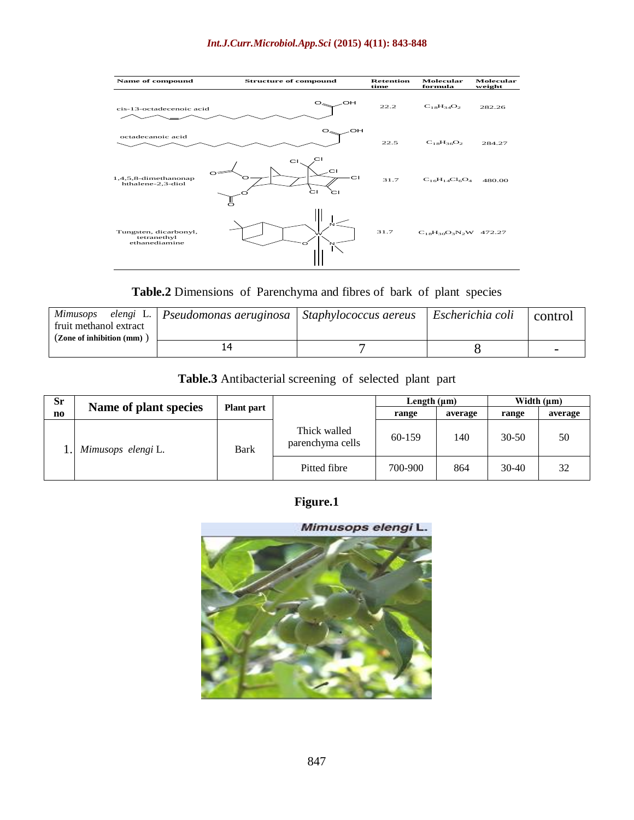#### *Int.J.Curr.Microbiol.App.Sci* **(2015) 4(11): 843-848**



**Table.2** Dimensions of Parenchyma and fibres of bark of plant species

| <i>Mimusops</i><br>fruit methanol extract | elengi L.   Pseudomonas aeruginosa | . Staphylococcus aereus | Escherichia coli | control |
|-------------------------------------------|------------------------------------|-------------------------|------------------|---------|
| (Zone of inhibition (mm))                 |                                    |                         |                  |         |
|                                           |                                    |                         |                  |         |

#### **Table.3** Antibacterial screening of selected plant part

| Sr        | Name of plant species | <b>Plant part</b> |                                  | Length $(\mu m)$ |         | Width $(\mu m)$ |         |
|-----------|-----------------------|-------------------|----------------------------------|------------------|---------|-----------------|---------|
| $\bf{no}$ |                       |                   |                                  | range            | average | range           | average |
|           | Mimusops elengi L.    | Bark              | Thick walled<br>parenchyma cells | 60-159           | 140     | $30 - 50$       | 50      |
|           |                       |                   | Pitted fibre                     | 700-900          | 864     | $30-40$         | 32      |

# **Figure.1**